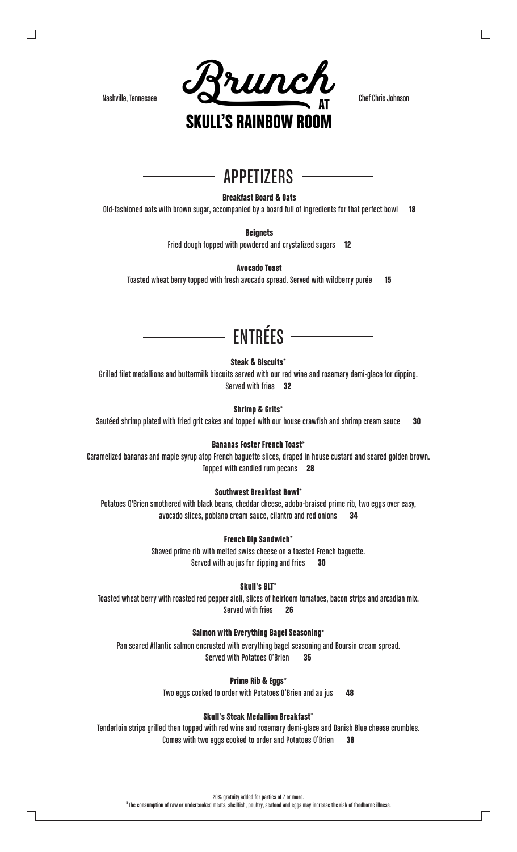

### APPETIZERS

Breakfast Board & Oats

Old-fashioned oats with brown sugar, accompanied by a board full of ingredients for that perfect bowl 18

**Beignets** 

Fried dough topped with powdered and crystalized sugars 12

Avocado Toast

Toasted wheat berry topped with fresh avocado spread. Served with wildberry purée 15

# ENTRÉES

Steak & Biscuits\*

Grilled filet medallions and buttermilk biscuits served with our red wine and rosemary demi-glace for dipping. Served with fries 32

Shrimp & Grits\*

Sautéed shrimp plated with fried grit cakes and topped with our house crawfish and shrimp cream sauce 30

#### Bananas Foster French Toast\*

Caramelized bananas and maple syrup atop French baguette slices, draped in house custard and seared golden brown. Topped with candied rum pecans 28

### Southwest Breakfast Bowl\*

Potatoes O'Brien smothered with black beans, cheddar cheese, adobo-braised prime rib, two eggs over easy, avocado slices, poblano cream sauce, cilantro and red onions 34

#### French Dip Sandwich\*

Shaved prime rib with melted swiss cheese on a toasted French baguette. Served with au jus for dipping and fries 30

#### Skull's BLT\*

Toasted wheat berry with roasted red pepper aioli, slices of heirloom tomatoes, bacon strips and arcadian mix. Served with fries 26

#### Salmon with Everything Bagel Seasoning\*

Pan seared Atlantic salmon encrusted with everything bagel seasoning and Boursin cream spread. Served with Potatoes O'Brien 35

Prime Rib & Eggs\*

Two eggs cooked to order with Potatoes O'Brien and au jus 48

#### Skull's Steak Medallion Breakfast\*

Tenderloin strips grilled then topped with red wine and rosemary demi-glace and Danish Blue cheese crumbles. Comes with two eggs cooked to order and Potatoes O'Brien 38

20% gratuity added for parties of 7 or more.

\*The consumption of raw or undercooked meats, shellfish, poultry, seafood and eggs may increase the risk of foodborne illness.